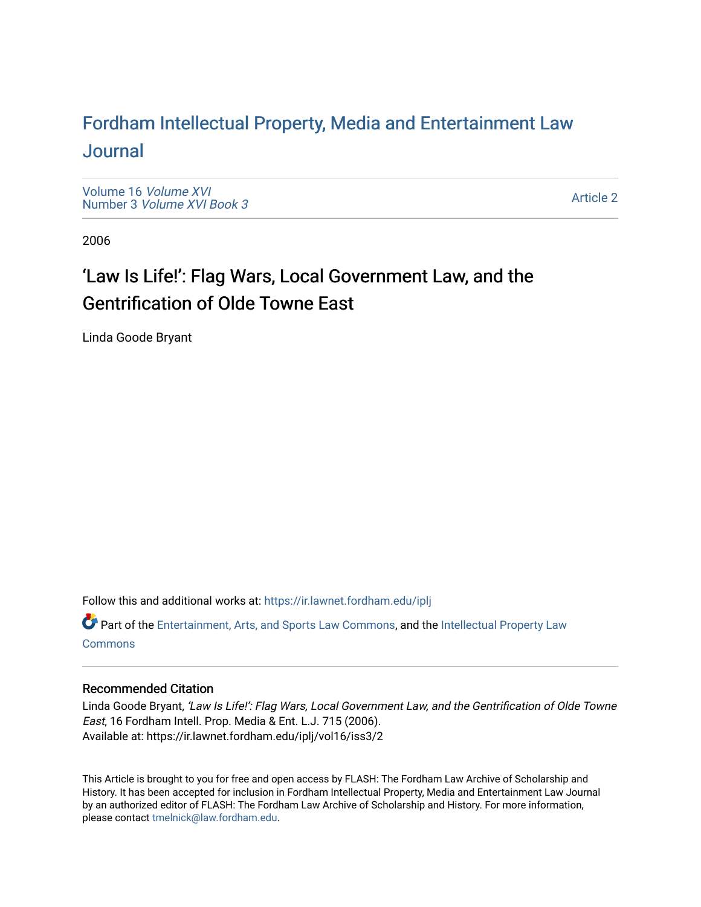### For[dham Intellectual Property, Media and Enter](https://ir.lawnet.fordham.edu/iplj)tainment Law [Journal](https://ir.lawnet.fordham.edu/iplj)

[Volume 16](https://ir.lawnet.fordham.edu/iplj/vol16) Volume XVI Number 3 [Volume XVI Book 3](https://ir.lawnet.fordham.edu/iplj/vol16/iss3)

[Article 2](https://ir.lawnet.fordham.edu/iplj/vol16/iss3/2) 

2006

## 'Law Is Life!': Flag Wars, Local Government Law, and the Gentrification of Olde Towne East

Linda Goode Bryant

Follow this and additional works at: [https://ir.lawnet.fordham.edu/iplj](https://ir.lawnet.fordham.edu/iplj?utm_source=ir.lawnet.fordham.edu%2Fiplj%2Fvol16%2Fiss3%2F2&utm_medium=PDF&utm_campaign=PDFCoverPages) 

Part of the [Entertainment, Arts, and Sports Law Commons](http://network.bepress.com/hgg/discipline/893?utm_source=ir.lawnet.fordham.edu%2Fiplj%2Fvol16%2Fiss3%2F2&utm_medium=PDF&utm_campaign=PDFCoverPages), and the [Intellectual Property Law](http://network.bepress.com/hgg/discipline/896?utm_source=ir.lawnet.fordham.edu%2Fiplj%2Fvol16%2Fiss3%2F2&utm_medium=PDF&utm_campaign=PDFCoverPages) **[Commons](http://network.bepress.com/hgg/discipline/896?utm_source=ir.lawnet.fordham.edu%2Fiplj%2Fvol16%2Fiss3%2F2&utm_medium=PDF&utm_campaign=PDFCoverPages)** 

### Recommended Citation

Linda Goode Bryant, 'Law Is Life!': Flag Wars, Local Government Law, and the Gentrification of Olde Towne East, 16 Fordham Intell. Prop. Media & Ent. L.J. 715 (2006). Available at: https://ir.lawnet.fordham.edu/iplj/vol16/iss3/2

This Article is brought to you for free and open access by FLASH: The Fordham Law Archive of Scholarship and History. It has been accepted for inclusion in Fordham Intellectual Property, Media and Entertainment Law Journal by an authorized editor of FLASH: The Fordham Law Archive of Scholarship and History. For more information, please contact [tmelnick@law.fordham.edu](mailto:tmelnick@law.fordham.edu).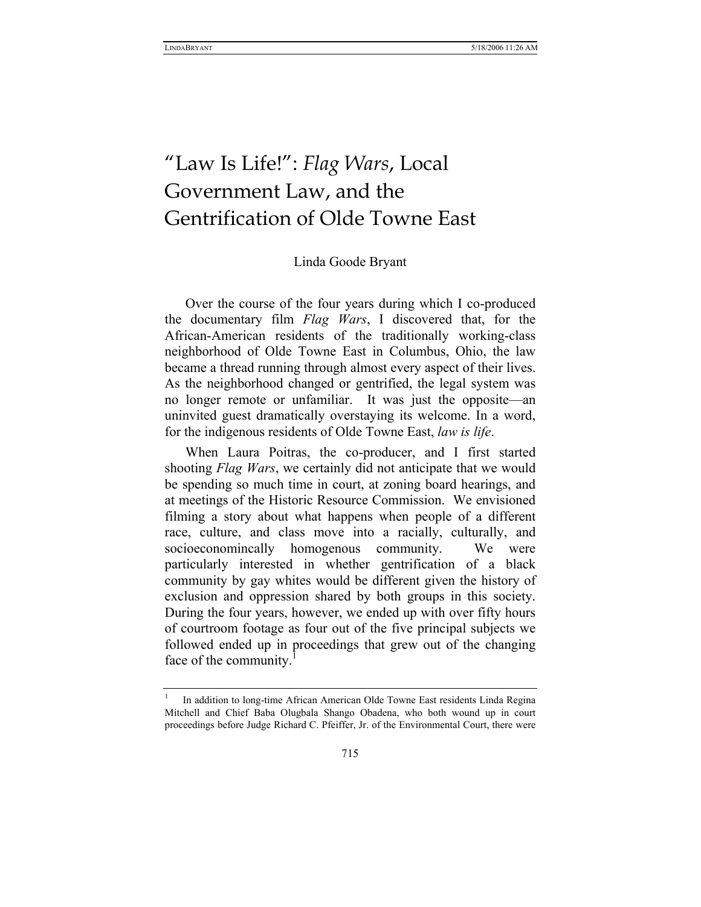LINDABRYANT 5/18/2006 11:26 AM

# "Law Is Life!": *Flag Wars*, Local Government Law, and the Gentrification of Olde Towne East

#### Linda Goode Bryant

Over the course of the four years during which I co-produced the documentary film *Flag Wars*, I discovered that, for the African-American residents of the traditionally working-class neighborhood of Olde Towne East in Columbus, Ohio, the law became a thread running through almost every aspect of their lives. As the neighborhood changed or gentrified, the legal system was no longer remote or unfamiliar. It was just the opposite—an uninvited guest dramatically overstaying its welcome. In a word, for the indigenous residents of Olde Towne East, *law is life*.

When Laura Poitras, the co-producer, and I first started shooting *Flag Wars*, we certainly did not anticipate that we would be spending so much time in court, at zoning board hearings, and at meetings of the Historic Resource Commission. We envisioned filming a story about what happens when people of a different race, culture, and class move into a racially, culturally, and socioeconomincally homogenous community. We were particularly interested in whether gentrification of a black community by gay whites would be different given the history of exclusion and oppression shared by both groups in this society. During the four years, however, we ended up with over fifty hours of courtroom footage as four out of the five principal subjects we followed ended up in proceedings that grew out of the changing face of the community.

<sup>1</sup> In addition to long-time African American Olde Towne East residents Linda Regina Mitchell and Chief Baba Olugbala Shango Obadena, who both wound up in court proceedings before Judge Richard C. Pfeiffer, Jr. of the Environmental Court, there were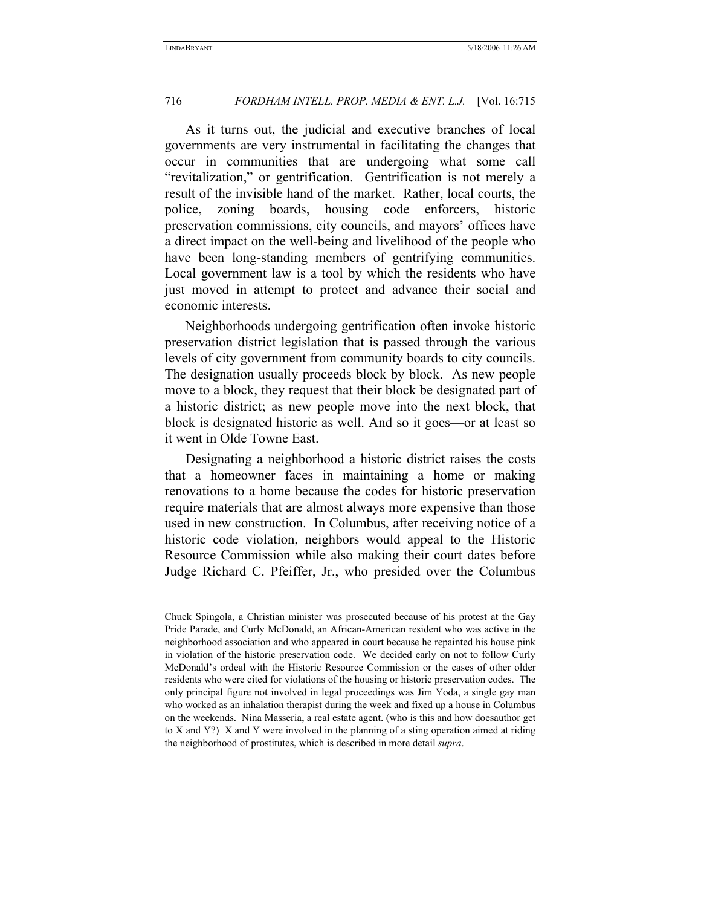As it turns out, the judicial and executive branches of local governments are very instrumental in facilitating the changes that occur in communities that are undergoing what some call "revitalization," or gentrification. Gentrification is not merely a result of the invisible hand of the market. Rather, local courts, the police, zoning boards, housing code enforcers, historic preservation commissions, city councils, and mayors' offices have a direct impact on the well-being and livelihood of the people who have been long-standing members of gentrifying communities. Local government law is a tool by which the residents who have just moved in attempt to protect and advance their social and economic interests.

Neighborhoods undergoing gentrification often invoke historic preservation district legislation that is passed through the various levels of city government from community boards to city councils. The designation usually proceeds block by block. As new people move to a block, they request that their block be designated part of a historic district; as new people move into the next block, that block is designated historic as well. And so it goes—or at least so it went in Olde Towne East.

Designating a neighborhood a historic district raises the costs that a homeowner faces in maintaining a home or making renovations to a home because the codes for historic preservation require materials that are almost always more expensive than those used in new construction. In Columbus, after receiving notice of a historic code violation, neighbors would appeal to the Historic Resource Commission while also making their court dates before Judge Richard C. Pfeiffer, Jr., who presided over the Columbus

Chuck Spingola, a Christian minister was prosecuted because of his protest at the Gay Pride Parade, and Curly McDonald, an African-American resident who was active in the neighborhood association and who appeared in court because he repainted his house pink in violation of the historic preservation code. We decided early on not to follow Curly McDonald's ordeal with the Historic Resource Commission or the cases of other older residents who were cited for violations of the housing or historic preservation codes. The only principal figure not involved in legal proceedings was Jim Yoda, a single gay man who worked as an inhalation therapist during the week and fixed up a house in Columbus on the weekends. Nina Masseria, a real estate agent. (who is this and how doesauthor get to X and Y?) X and Y were involved in the planning of a sting operation aimed at riding the neighborhood of prostitutes, which is described in more detail *supra*.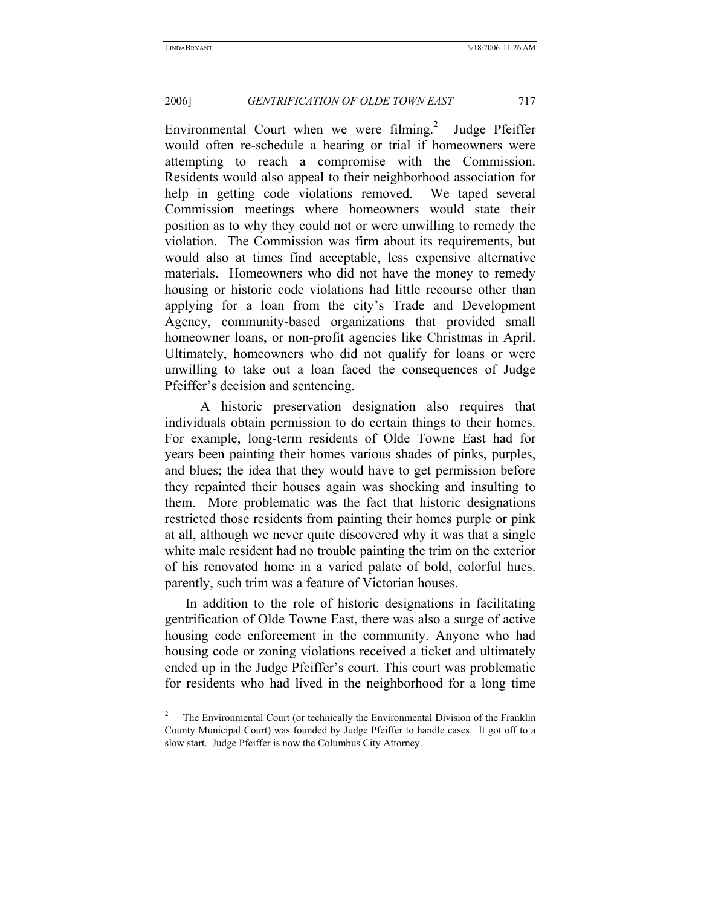Environmental Court when we were filming.<sup>2</sup> Judge Pfeiffer would often re-schedule a hearing or trial if homeowners were attempting to reach a compromise with the Commission. Residents would also appeal to their neighborhood association for help in getting code violations removed. We taped several Commission meetings where homeowners would state their position as to why they could not or were unwilling to remedy the violation. The Commission was firm about its requirements, but would also at times find acceptable, less expensive alternative materials. Homeowners who did not have the money to remedy housing or historic code violations had little recourse other than applying for a loan from the city's Trade and Development Agency, community-based organizations that provided small homeowner loans, or non-profit agencies like Christmas in April. Ultimately, homeowners who did not qualify for loans or were unwilling to take out a loan faced the consequences of Judge Pfeiffer's decision and sentencing.

 A historic preservation designation also requires that individuals obtain permission to do certain things to their homes. For example, long-term residents of Olde Towne East had for years been painting their homes various shades of pinks, purples, and blues; the idea that they would have to get permission before they repainted their houses again was shocking and insulting to them. More problematic was the fact that historic designations restricted those residents from painting their homes purple or pink at all, although we never quite discovered why it was that a single white male resident had no trouble painting the trim on the exterior of his renovated home in a varied palate of bold, colorful hues. parently, such trim was a feature of Victorian houses.

In addition to the role of historic designations in facilitating gentrification of Olde Towne East, there was also a surge of active housing code enforcement in the community. Anyone who had housing code or zoning violations received a ticket and ultimately ended up in the Judge Pfeiffer's court. This court was problematic for residents who had lived in the neighborhood for a long time

<sup>2</sup> The Environmental Court (or technically the Environmental Division of the Franklin County Municipal Court) was founded by Judge Pfeiffer to handle cases. It got off to a slow start. Judge Pfeiffer is now the Columbus City Attorney.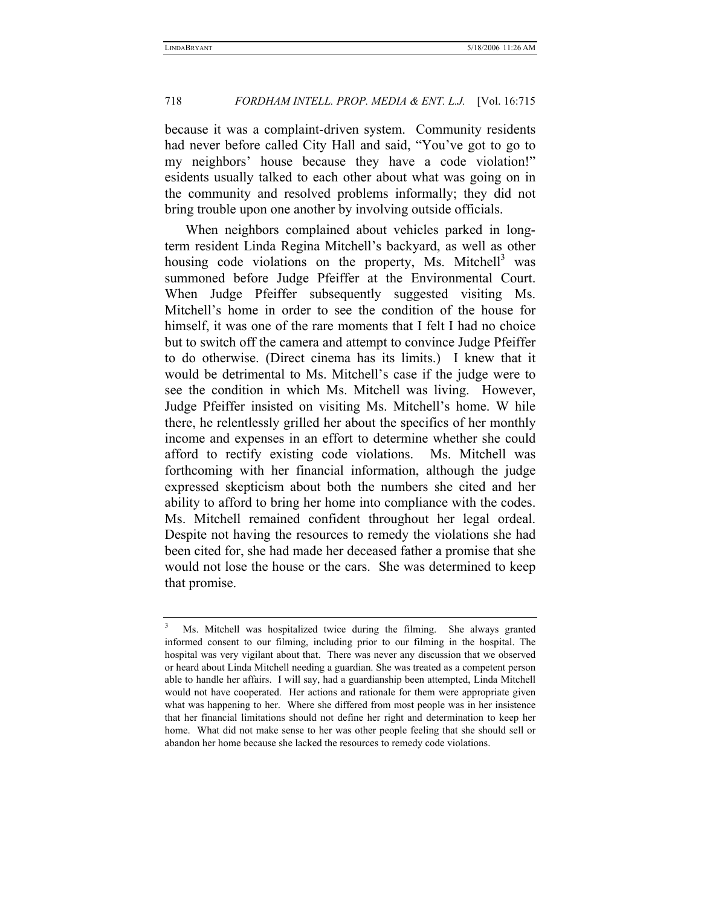because it was a complaint-driven system. Community residents had never before called City Hall and said, "You've got to go to my neighbors' house because they have a code violation!" esidents usually talked to each other about what was going on in the community and resolved problems informally; they did not bring trouble upon one another by involving outside officials.

When neighbors complained about vehicles parked in longterm resident Linda Regina Mitchell's backyard, as well as other housing code violations on the property, Ms. Mitchell<sup>3</sup> was summoned before Judge Pfeiffer at the Environmental Court. When Judge Pfeiffer subsequently suggested visiting Ms. Mitchell's home in order to see the condition of the house for himself, it was one of the rare moments that I felt I had no choice but to switch off the camera and attempt to convince Judge Pfeiffer to do otherwise. (Direct cinema has its limits.) I knew that it would be detrimental to Ms. Mitchell's case if the judge were to see the condition in which Ms. Mitchell was living. However, Judge Pfeiffer insisted on visiting Ms. Mitchell's home. W hile there, he relentlessly grilled her about the specifics of her monthly income and expenses in an effort to determine whether she could afford to rectify existing code violations. Ms. Mitchell was forthcoming with her financial information, although the judge expressed skepticism about both the numbers she cited and her ability to afford to bring her home into compliance with the codes. Ms. Mitchell remained confident throughout her legal ordeal. Despite not having the resources to remedy the violations she had been cited for, she had made her deceased father a promise that she would not lose the house or the cars. She was determined to keep that promise.

<sup>3</sup> Ms. Mitchell was hospitalized twice during the filming. She always granted informed consent to our filming, including prior to our filming in the hospital. The hospital was very vigilant about that. There was never any discussion that we observed or heard about Linda Mitchell needing a guardian. She was treated as a competent person able to handle her affairs. I will say, had a guardianship been attempted, Linda Mitchell would not have cooperated. Her actions and rationale for them were appropriate given what was happening to her. Where she differed from most people was in her insistence that her financial limitations should not define her right and determination to keep her home. What did not make sense to her was other people feeling that she should sell or abandon her home because she lacked the resources to remedy code violations.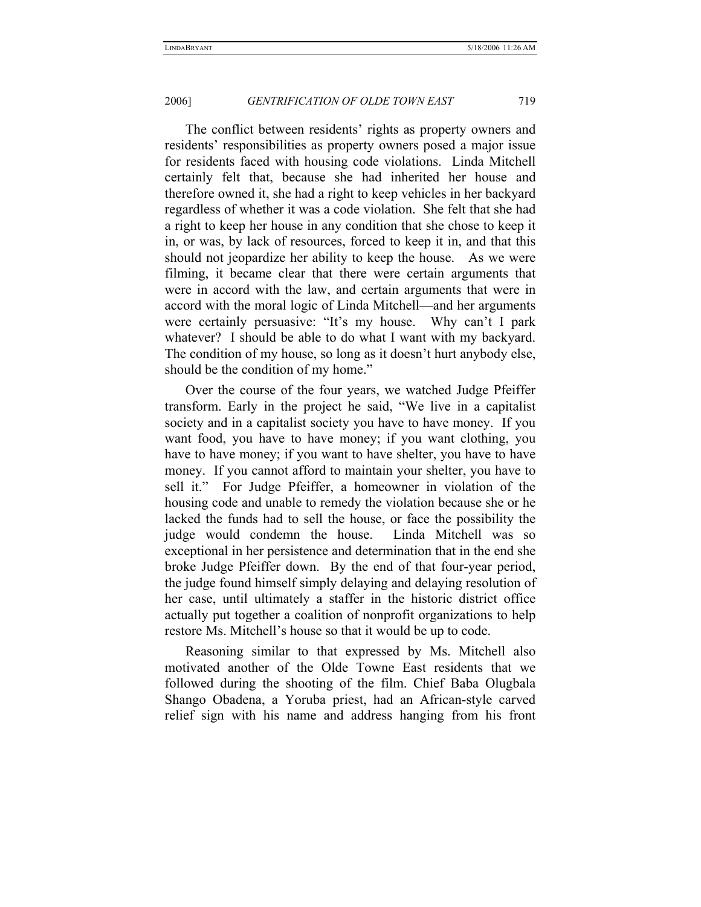The conflict between residents' rights as property owners and residents' responsibilities as property owners posed a major issue for residents faced with housing code violations. Linda Mitchell certainly felt that, because she had inherited her house and therefore owned it, she had a right to keep vehicles in her backyard regardless of whether it was a code violation. She felt that she had a right to keep her house in any condition that she chose to keep it in, or was, by lack of resources, forced to keep it in, and that this should not jeopardize her ability to keep the house. As we were filming, it became clear that there were certain arguments that were in accord with the law, and certain arguments that were in accord with the moral logic of Linda Mitchell—and her arguments were certainly persuasive: "It's my house. Why can't I park whatever? I should be able to do what I want with my backyard. The condition of my house, so long as it doesn't hurt anybody else, should be the condition of my home."

Over the course of the four years, we watched Judge Pfeiffer transform. Early in the project he said, "We live in a capitalist society and in a capitalist society you have to have money. If you want food, you have to have money; if you want clothing, you have to have money; if you want to have shelter, you have to have money. If you cannot afford to maintain your shelter, you have to sell it." For Judge Pfeiffer, a homeowner in violation of the housing code and unable to remedy the violation because she or he lacked the funds had to sell the house, or face the possibility the judge would condemn the house. Linda Mitchell was so exceptional in her persistence and determination that in the end she broke Judge Pfeiffer down. By the end of that four-year period, the judge found himself simply delaying and delaying resolution of her case, until ultimately a staffer in the historic district office actually put together a coalition of nonprofit organizations to help restore Ms. Mitchell's house so that it would be up to code.

Reasoning similar to that expressed by Ms. Mitchell also motivated another of the Olde Towne East residents that we followed during the shooting of the film. Chief Baba Olugbala Shango Obadena, a Yoruba priest, had an African-style carved relief sign with his name and address hanging from his front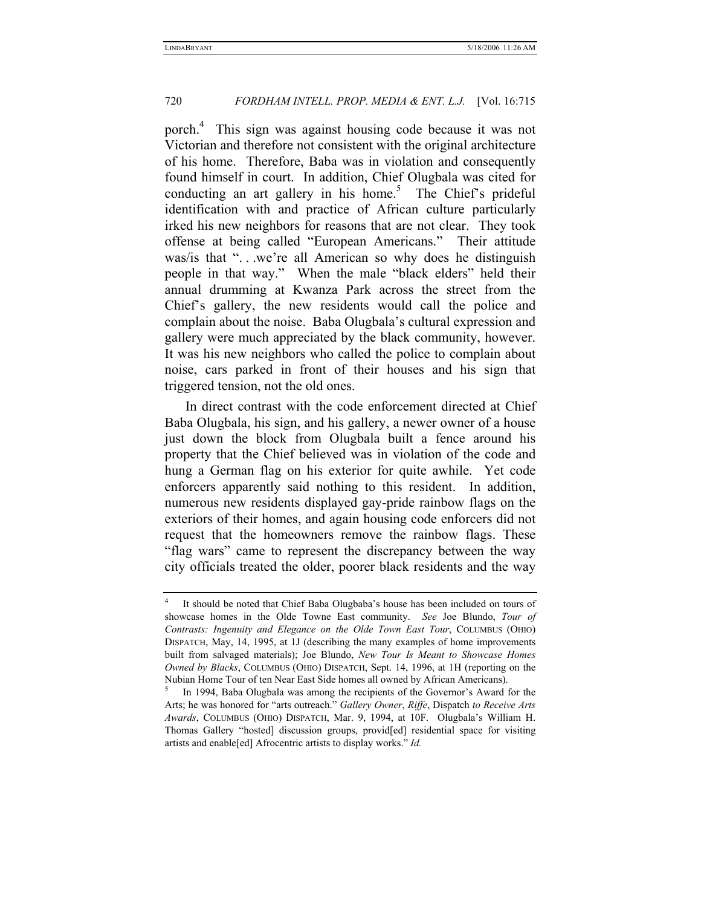porch.4 This sign was against housing code because it was not Victorian and therefore not consistent with the original architecture of his home. Therefore, Baba was in violation and consequently found himself in court. In addition, Chief Olugbala was cited for conducting an art gallery in his home.<sup>5</sup> The Chief's prideful identification with and practice of African culture particularly irked his new neighbors for reasons that are not clear. They took offense at being called "European Americans." Their attitude was/is that "...we're all American so why does he distinguish people in that way." When the male "black elders" held their annual drumming at Kwanza Park across the street from the Chief's gallery, the new residents would call the police and complain about the noise. Baba Olugbala's cultural expression and gallery were much appreciated by the black community, however. It was his new neighbors who called the police to complain about noise, cars parked in front of their houses and his sign that triggered tension, not the old ones.

In direct contrast with the code enforcement directed at Chief Baba Olugbala, his sign, and his gallery, a newer owner of a house just down the block from Olugbala built a fence around his property that the Chief believed was in violation of the code and hung a German flag on his exterior for quite awhile. Yet code enforcers apparently said nothing to this resident. In addition, numerous new residents displayed gay-pride rainbow flags on the exteriors of their homes, and again housing code enforcers did not request that the homeowners remove the rainbow flags. These "flag wars" came to represent the discrepancy between the way city officials treated the older, poorer black residents and the way

<sup>4</sup> It should be noted that Chief Baba Olugbaba's house has been included on tours of showcase homes in the Olde Towne East community. *See* Joe Blundo, *Tour of Contrasts: Ingenuity and Elegance on the Olde Town East Tour*, COLUMBUS (OHIO) DISPATCH, May, 14, 1995, at 1J (describing the many examples of home improvements built from salvaged materials); Joe Blundo, *New Tour Is Meant to Showcase Homes Owned by Blacks*, COLUMBUS (OHIO) DISPATCH, Sept. 14, 1996, at 1H (reporting on the Nubian Home Tour of ten Near East Side homes all owned by African Americans). 5

In 1994, Baba Olugbala was among the recipients of the Governor's Award for the Arts; he was honored for "arts outreach." *Gallery Owner*, *Riffe*, Dispatch *to Receive Arts Awards*, COLUMBUS (OHIO) DISPATCH, Mar. 9, 1994, at 10F. Olugbala's William H. Thomas Gallery "hosted] discussion groups, provid[ed] residential space for visiting artists and enable[ed] Afrocentric artists to display works." *Id.*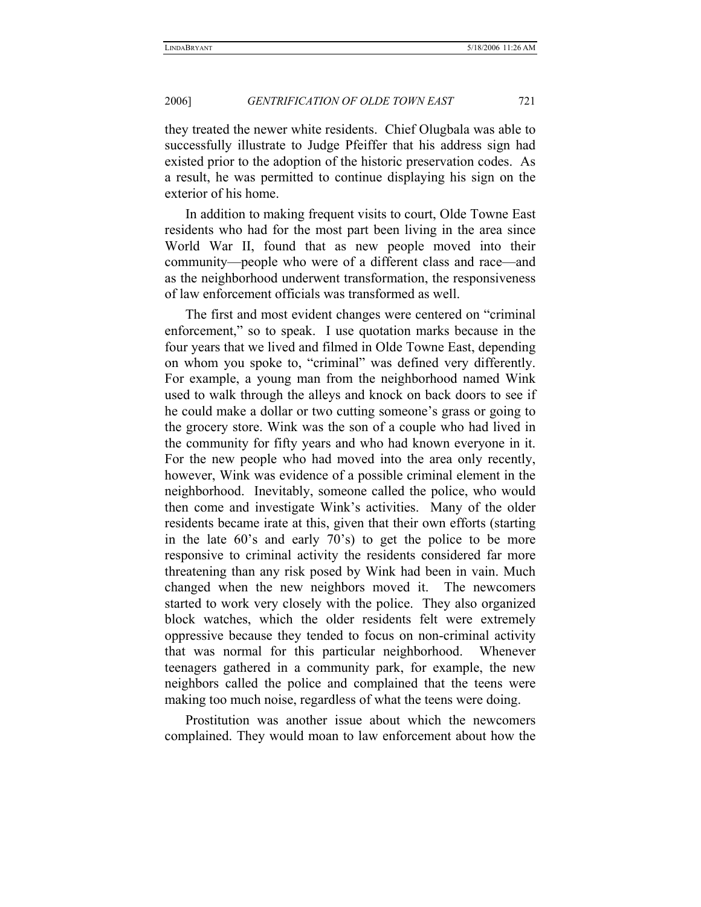they treated the newer white residents. Chief Olugbala was able to successfully illustrate to Judge Pfeiffer that his address sign had existed prior to the adoption of the historic preservation codes. As a result, he was permitted to continue displaying his sign on the exterior of his home.

In addition to making frequent visits to court, Olde Towne East residents who had for the most part been living in the area since World War II, found that as new people moved into their community—people who were of a different class and race—and as the neighborhood underwent transformation, the responsiveness of law enforcement officials was transformed as well.

The first and most evident changes were centered on "criminal enforcement," so to speak. I use quotation marks because in the four years that we lived and filmed in Olde Towne East, depending on whom you spoke to, "criminal" was defined very differently. For example, a young man from the neighborhood named Wink used to walk through the alleys and knock on back doors to see if he could make a dollar or two cutting someone's grass or going to the grocery store. Wink was the son of a couple who had lived in the community for fifty years and who had known everyone in it. For the new people who had moved into the area only recently, however, Wink was evidence of a possible criminal element in the neighborhood. Inevitably, someone called the police, who would then come and investigate Wink's activities. Many of the older residents became irate at this, given that their own efforts (starting in the late 60's and early 70's) to get the police to be more responsive to criminal activity the residents considered far more threatening than any risk posed by Wink had been in vain. Much changed when the new neighbors moved it. The newcomers started to work very closely with the police. They also organized block watches, which the older residents felt were extremely oppressive because they tended to focus on non-criminal activity that was normal for this particular neighborhood. Whenever teenagers gathered in a community park, for example, the new neighbors called the police and complained that the teens were making too much noise, regardless of what the teens were doing.

Prostitution was another issue about which the newcomers complained. They would moan to law enforcement about how the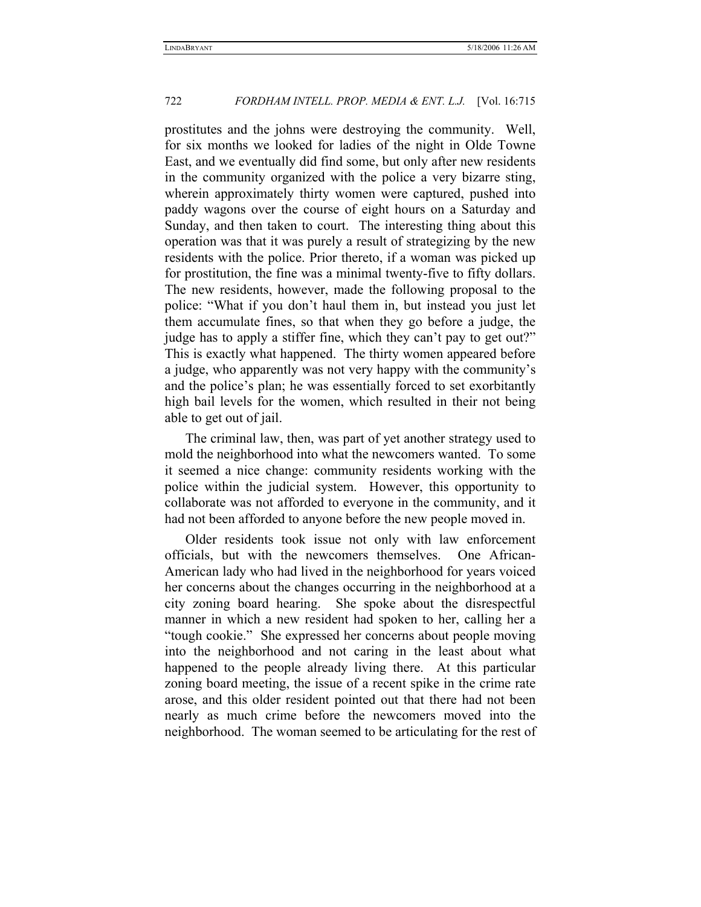prostitutes and the johns were destroying the community. Well, for six months we looked for ladies of the night in Olde Towne East, and we eventually did find some, but only after new residents in the community organized with the police a very bizarre sting, wherein approximately thirty women were captured, pushed into paddy wagons over the course of eight hours on a Saturday and Sunday, and then taken to court. The interesting thing about this operation was that it was purely a result of strategizing by the new residents with the police. Prior thereto, if a woman was picked up for prostitution, the fine was a minimal twenty-five to fifty dollars. The new residents, however, made the following proposal to the police: "What if you don't haul them in, but instead you just let them accumulate fines, so that when they go before a judge, the judge has to apply a stiffer fine, which they can't pay to get out?" This is exactly what happened. The thirty women appeared before a judge, who apparently was not very happy with the community's and the police's plan; he was essentially forced to set exorbitantly high bail levels for the women, which resulted in their not being able to get out of jail.

The criminal law, then, was part of yet another strategy used to mold the neighborhood into what the newcomers wanted. To some it seemed a nice change: community residents working with the police within the judicial system. However, this opportunity to collaborate was not afforded to everyone in the community, and it had not been afforded to anyone before the new people moved in.

Older residents took issue not only with law enforcement officials, but with the newcomers themselves. One African-American lady who had lived in the neighborhood for years voiced her concerns about the changes occurring in the neighborhood at a city zoning board hearing. She spoke about the disrespectful manner in which a new resident had spoken to her, calling her a "tough cookie." She expressed her concerns about people moving into the neighborhood and not caring in the least about what happened to the people already living there. At this particular zoning board meeting, the issue of a recent spike in the crime rate arose, and this older resident pointed out that there had not been nearly as much crime before the newcomers moved into the neighborhood. The woman seemed to be articulating for the rest of